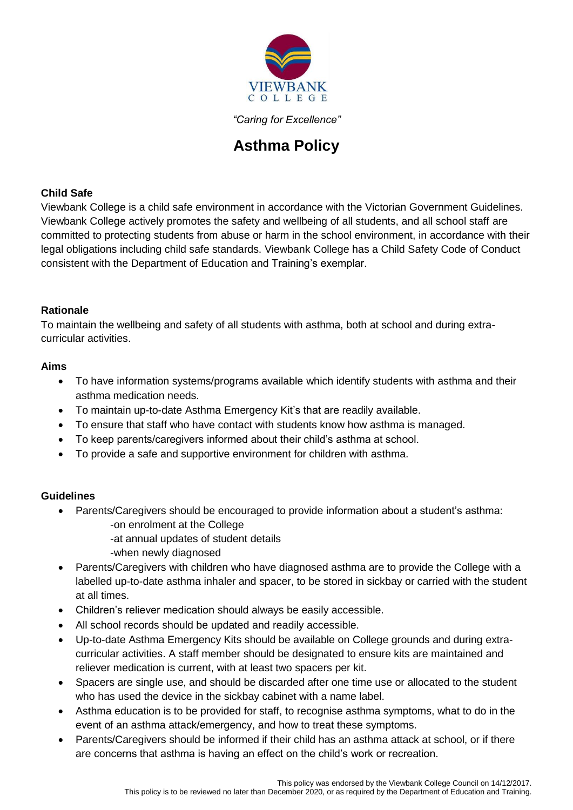

*"Caring for Excellence"*

# **Asthma Policy**

## **Child Safe**

Viewbank College is a child safe environment in accordance with the Victorian Government Guidelines. Viewbank College actively promotes the safety and wellbeing of all students, and all school staff are committed to protecting students from abuse or harm in the school environment, in accordance with their legal obligations including child safe standards. Viewbank College has a Child Safety Code of Conduct consistent with the Department of Education and Training's exemplar.

### **Rationale**

To maintain the wellbeing and safety of all students with asthma, both at school and during extracurricular activities.

## **Aims**

- To have information systems/programs available which identify students with asthma and their asthma medication needs.
- To maintain up-to-date Asthma Emergency Kit's that are readily available.
- To ensure that staff who have contact with students know how asthma is managed.
- To keep parents/caregivers informed about their child's asthma at school.
- To provide a safe and supportive environment for children with asthma.

## **Guidelines**

- Parents/Caregivers should be encouraged to provide information about a student's asthma: -on enrolment at the College
	- -at annual updates of student details
	- -when newly diagnosed
- Parents/Caregivers with children who have diagnosed asthma are to provide the College with a labelled up-to-date asthma inhaler and spacer, to be stored in sickbay or carried with the student at all times.
- Children's reliever medication should always be easily accessible.
- All school records should be updated and readily accessible.
- Up-to-date Asthma Emergency Kits should be available on College grounds and during extracurricular activities. A staff member should be designated to ensure kits are maintained and reliever medication is current, with at least two spacers per kit.
- Spacers are single use, and should be discarded after one time use or allocated to the student who has used the device in the sickbay cabinet with a name label.
- Asthma education is to be provided for staff, to recognise asthma symptoms, what to do in the event of an asthma attack/emergency, and how to treat these symptoms.
- Parents/Caregivers should be informed if their child has an asthma attack at school, or if there are concerns that asthma is having an effect on the child's work or recreation.